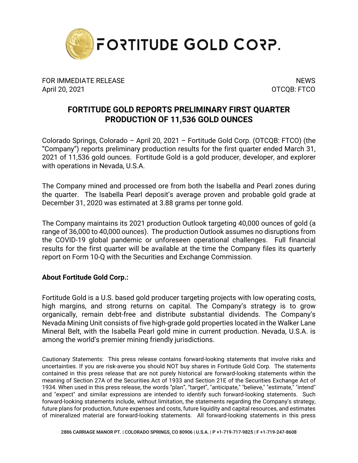

FOR IMMEDIATE RELEASE NEWS AND THE SERVICE OF STREET AND THE SERVICE OF STREET AND THE SERVICE OF STREET AND T April 20, 2021 OTCQB: FTCO

## **FORTITUDE GOLD REPORTS PRELIMINARY FIRST QUARTER PRODUCTION OF 11,536 GOLD OUNCES**

Colorado Springs, Colorado – April 20, 2021 – Fortitude Gold Corp. (OTCQB: FTCO) (the "Company") reports preliminary production results for the first quarter ended March 31, 2021 of 11,536 gold ounces. Fortitude Gold is a gold producer, developer, and explorer with operations in Nevada, U.S.A.

The Company mined and processed ore from both the Isabella and Pearl zones during the quarter. The Isabella Pearl deposit's average proven and probable gold grade at December 31, 2020 was estimated at 3.88 grams per tonne gold.

The Company maintains its 2021 production Outlook targeting 40,000 ounces of gold (a range of 36,000 to 40,000 ounces). The production Outlook assumes no disruptions from the COVID-19 global pandemic or unforeseen operational challenges. Full financial results for the first quarter will be available at the time the Company files its quarterly report on Form 10-Q with the Securities and Exchange Commission.

## **About Fortitude Gold Corp.:**

Fortitude Gold is a U.S. based gold producer targeting projects with low operating costs, high margins, and strong returns on capital. The Company's strategy is to grow organically, remain debt-free and distribute substantial dividends. The Company's Nevada Mining Unit consists of five high-grade gold properties located in the Walker Lane Mineral Belt, with the Isabella Pearl gold mine in current production. Nevada, U.S.A. is among the world's premier mining friendly jurisdictions.

Cautionary Statements: This press release contains forward-looking statements that involve risks and uncertainties. If you are risk-averse you should NOT buy shares in Fortitude Gold Corp. The statements contained in this press release that are not purely historical are forward-looking statements within the meaning of Section 27A of the Securities Act of 1933 and Section 21E of the Securities Exchange Act of 1934. When used in this press release, the words "plan", "target", "anticipate," "believe," "estimate," "intend" and "expect" and similar expressions are intended to identify such forward-looking statements. Such forward-looking statements include, without limitation, the statements regarding the Company's strategy, future plans for production, future expenses and costs, future liquidity and capital resources, and estimates of mineralized material are forward-looking statements. All forward-looking statements in this press